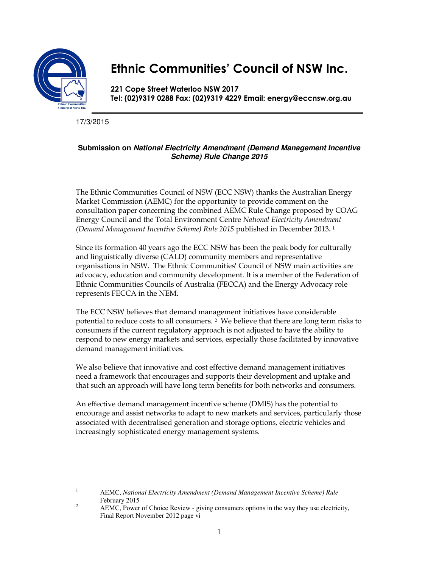

# **Ethnic Communities' Council of NSW Inc.**

**221 Cope Street Waterloo NSW 2017 Tel: (02)9319 0288 Fax: (02)9319 4229 Email: energy@eccnsw.org.au** 

17/3/2015

# **Submission on National Electricity Amendment (Demand Management Incentive Scheme) Rule Change 2015**

The Ethnic Communities Council of NSW (ECC NSW) thanks the Australian Energy Market Commission (AEMC) for the opportunity to provide comment on the consultation paper concerning the combined AEMC Rule Change proposed by COAG Energy Council and the Total Environment Centre *National Electricity Amendment (Demand Management Incentive Scheme) Rule 2015* published in December 2013**. 1** 

Since its formation 40 years ago the ECC NSW has been the peak body for culturally and linguistically diverse (CALD) community members and representative organisations in NSW. The Ethnic Communities' Council of NSW main activities are advocacy, education and community development. It is a member of the Federation of Ethnic Communities Councils of Australia (FECCA) and the Energy Advocacy role represents FECCA in the NEM.

The ECC NSW believes that demand management initiatives have considerable potential to reduce costs to all consumers. 2 We believe that there are long term risks to consumers if the current regulatory approach is not adjusted to have the ability to respond to new energy markets and services, especially those facilitated by innovative demand management initiatives.

We also believe that innovative and cost effective demand management initiatives need a framework that encourages and supports their development and uptake and that such an approach will have long term benefits for both networks and consumers.

An effective demand management incentive scheme (DMIS) has the potential to encourage and assist networks to adapt to new markets and services, particularly those associated with decentralised generation and storage options, electric vehicles and increasingly sophisticated energy management systems.

 $\frac{1}{1}$  AEMC, *National Electricity Amendment (Demand Management Incentive Scheme) Rule* February 2015 2

AEMC, Power of Choice Review - giving consumers options in the way they use electricity, Final Report November 2012 page vi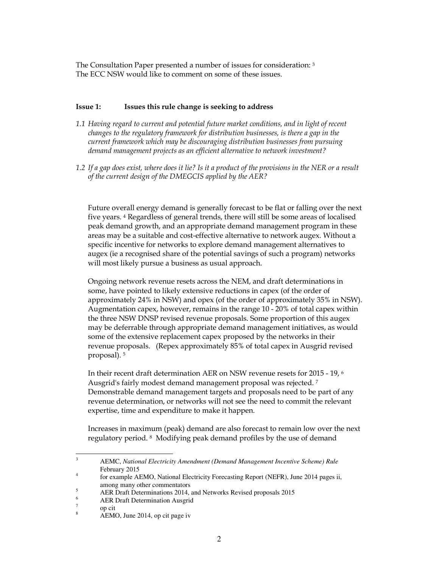The Consultation Paper presented a number of issues for consideration: <sup>3</sup> The ECC NSW would like to comment on some of these issues.

## **Issue 1: Issues this rule change is seeking to address**

- *1.1 Having regard to current and potential future market conditions, and in light of recent changes to the regulatory framework for distribution businesses, is there a gap in the current framework which may be discouraging distribution businesses from pursuing demand management projects as an efficient alternative to network investment?*
- *1.2 If a gap does exist, where does it lie? Is it a product of the provisions in the NER or a result of the current design of the DMEGCIS applied by the AER?*

Future overall energy demand is generally forecast to be flat or falling over the next five years. 4 Regardless of general trends, there will still be some areas of localised peak demand growth, and an appropriate demand management program in these areas may be a suitable and cost-effective alternative to network augex. Without a specific incentive for networks to explore demand management alternatives to augex (ie a recognised share of the potential savings of such a program) networks will most likely pursue a business as usual approach.

Ongoing network revenue resets across the NEM, and draft determinations in some, have pointed to likely extensive reductions in capex (of the order of approximately 24% in NSW) and opex (of the order of approximately 35% in NSW). Augmentation capex, however, remains in the range 10 - 20% of total capex within the three NSW DNSP revised revenue proposals. Some proportion of this augex may be deferrable through appropriate demand management initiatives, as would some of the extensive replacement capex proposed by the networks in their revenue proposals. (Repex approximately 85% of total capex in Ausgrid revised proposal). <sup>5</sup>

In their recent draft determination AER on NSW revenue resets for 2015 - 19, <sup>6</sup> Ausgrid's fairly modest demand management proposal was rejected. <sup>7</sup> Demonstrable demand management targets and proposals need to be part of any revenue determination, or networks will not see the need to commit the relevant expertise, time and expenditure to make it happen.

Increases in maximum (peak) demand are also forecast to remain low over the next regulatory period. 8 Modifying peak demand profiles by the use of demand

<sup>&</sup>lt;sup>2</sup><br>3 AEMC, *National Electricity Amendment (Demand Management Incentive Scheme) Rule* February 2015

<sup>4</sup> for example AEMO, National Electricity Forecasting Report (NEFR), June 2014 pages ii, among many other commentators

<sup>5</sup> AER Draft Determinations 2014, and Networks Revised proposals 2015

<sup>6</sup> AER Draft Determination Ausgrid

<sup>7</sup> op cit

<sup>8</sup> AEMO, June 2014, op cit page iv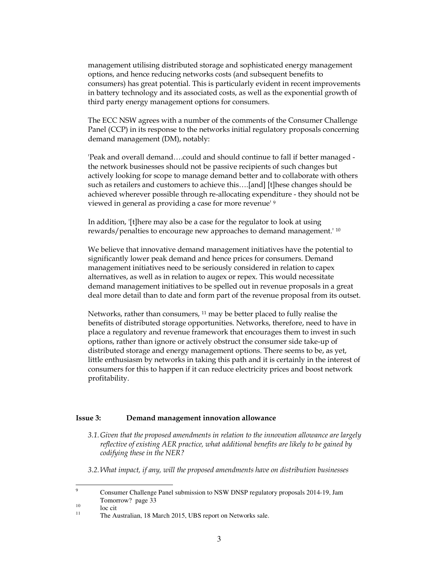management utilising distributed storage and sophisticated energy management options, and hence reducing networks costs (and subsequent benefits to consumers) has great potential. This is particularly evident in recent improvements in battery technology and its associated costs, as well as the exponential growth of third party energy management options for consumers.

The ECC NSW agrees with a number of the comments of the Consumer Challenge Panel (CCP) in its response to the networks initial regulatory proposals concerning demand management (DM), notably:

'Peak and overall demand….could and should continue to fall if better managed the network businesses should not be passive recipients of such changes but actively looking for scope to manage demand better and to collaborate with others such as retailers and customers to achieve this….[and] [t]hese changes should be achieved wherever possible through re-allocating expenditure - they should not be viewed in general as providing a case for more revenue' <sup>9</sup>

In addition, '[t]here may also be a case for the regulator to look at using rewards/penalties to encourage new approaches to demand management.' <sup>10</sup>

We believe that innovative demand management initiatives have the potential to significantly lower peak demand and hence prices for consumers. Demand management initiatives need to be seriously considered in relation to capex alternatives, as well as in relation to augex or repex. This would necessitate demand management initiatives to be spelled out in revenue proposals in a great deal more detail than to date and form part of the revenue proposal from its outset.

Networks, rather than consumers, 11 may be better placed to fully realise the benefits of distributed storage opportunities. Networks, therefore, need to have in place a regulatory and revenue framework that encourages them to invest in such options, rather than ignore or actively obstruct the consumer side take-up of distributed storage and energy management options. There seems to be, as yet, little enthusiasm by networks in taking this path and it is certainly in the interest of consumers for this to happen if it can reduce electricity prices and boost network profitability.

### **Issue 3: Demand management innovation allowance**

- *3.1.Given that the proposed amendments in relation to the innovation allowance are largely reflective of existing AER practice, what additional benefits are likely to be gained by codifying these in the NER?*
- *3.2.What impact, if any, will the proposed amendments have on distribution businesses*

<sup>-&</sup>lt;br>9 Consumer Challenge Panel submission to NSW DNSP regulatory proposals 2014-19, Jam Tomorrow? page 33

 $\frac{10}{11}$  loc cit

The Australian, 18 March 2015, UBS report on Networks sale.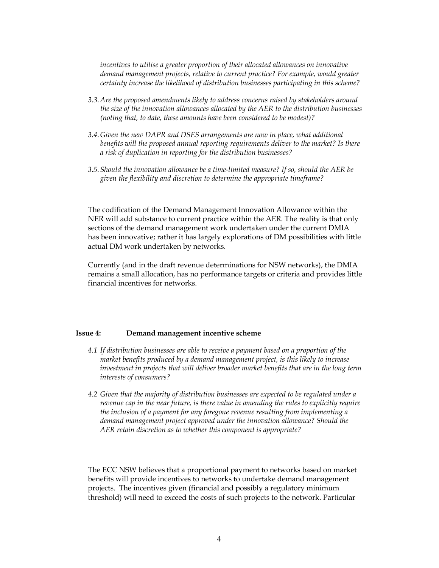*incentives to utilise a greater proportion of their allocated allowances on innovative demand management projects, relative to current practice? For example, would greater certainty increase the likelihood of distribution businesses participating in this scheme?* 

- *3.3.Are the proposed amendments likely to address concerns raised by stakeholders around the size of the innovation allowances allocated by the AER to the distribution businesses (noting that, to date, these amounts have been considered to be modest)?*
- *3.4.Given the new DAPR and DSES arrangements are now in place, what additional benefits will the proposed annual reporting requirements deliver to the market? Is there a risk of duplication in reporting for the distribution businesses?*
- *3.5.Should the innovation allowance be a time-limited measure? If so, should the AER be given the flexibility and discretion to determine the appropriate timeframe?*

The codification of the Demand Management Innovation Allowance within the NER will add substance to current practice within the AER. The reality is that only sections of the demand management work undertaken under the current DMIA has been innovative; rather it has largely explorations of DM possibilities with little actual DM work undertaken by networks.

Currently (and in the draft revenue determinations for NSW networks), the DMIA remains a small allocation, has no performance targets or criteria and provides little financial incentives for networks.

### **Issue 4: Demand management incentive scheme**

- *4.1 If distribution businesses are able to receive a payment based on a proportion of the market benefits produced by a demand management project, is this likely to increase investment in projects that will deliver broader market benefits that are in the long term interests of consumers?*
- *4.2 Given that the majority of distribution businesses are expected to be regulated under a revenue cap in the near future, is there value in amending the rules to explicitly require the inclusion of a payment for any foregone revenue resulting from implementing a demand management project approved under the innovation allowance? Should the AER retain discretion as to whether this component is appropriate?*

The ECC NSW believes that a proportional payment to networks based on market benefits will provide incentives to networks to undertake demand management projects. The incentives given (financial and possibly a regulatory minimum threshold) will need to exceed the costs of such projects to the network. Particular